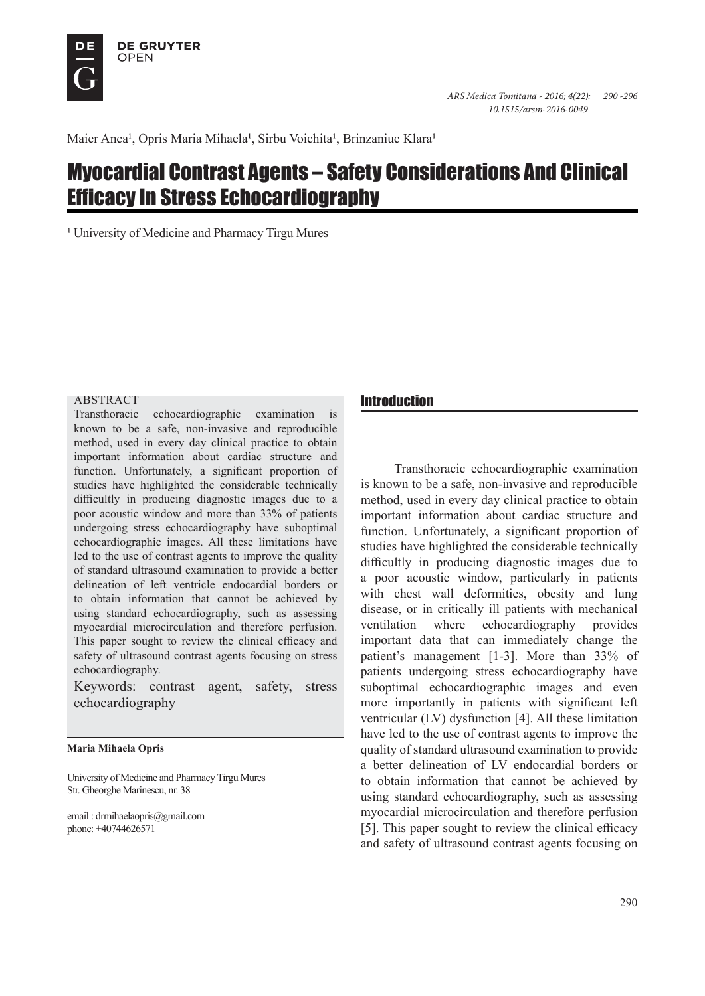

Maier Anca<sup>1</sup>, Opris Maria Mihaela<sup>1</sup>, Sirbu Voichita<sup>1</sup>, Brinzaniuc Klara<sup>1</sup>

# Myocardial Contrast Agents – Safety Considerations And Clinical Efficacy In Stress Echocardiography

<sup>1</sup> University of Medicine and Pharmacy Tirgu Mures

#### **ABSTRACT**

Transthoracic echocardiographic examination is known to be a safe, non-invasive and reproducible method, used in every day clinical practice to obtain important information about cardiac structure and function. Unfortunately, a significant proportion of studies have highlighted the considerable technically difficultly in producing diagnostic images due to a poor acoustic window and more than 33% of patients undergoing stress echocardiography have suboptimal echocardiographic images. All these limitations have led to the use of contrast agents to improve the quality of standard ultrasound examination to provide a better delineation of left ventricle endocardial borders or to obtain information that cannot be achieved by using standard echocardiography, such as assessing myocardial microcirculation and therefore perfusion. This paper sought to review the clinical efficacy and safety of ultrasound contrast agents focusing on stress echocardiography.

Keywords: contrast agent, safety, stress echocardiography

#### **Maria Mihaela Opris**

University of Medicine and Pharmacy Tirgu Mures Str. Gheorghe Marinescu, nr. 38

email : drmihaelaopris@gmail.com phone: +40744626571

### Introduction

Transthoracic echocardiographic examination is known to be a safe, non-invasive and reproducible method, used in every day clinical practice to obtain important information about cardiac structure and function. Unfortunately, a significant proportion of studies have highlighted the considerable technically difficultly in producing diagnostic images due to a poor acoustic window, particularly in patients with chest wall deformities, obesity and lung disease, or in critically ill patients with mechanical ventilation where echocardiography provides important data that can immediately change the patient's management [1-3]. More than 33% of patients undergoing stress echocardiography have suboptimal echocardiographic images and even more importantly in patients with significant left ventricular (LV) dysfunction [4]. All these limitation have led to the use of contrast agents to improve the quality of standard ultrasound examination to provide a better delineation of LV endocardial borders or to obtain information that cannot be achieved by using standard echocardiography, such as assessing myocardial microcirculation and therefore perfusion [5]. This paper sought to review the clinical efficacy and safety of ultrasound contrast agents focusing on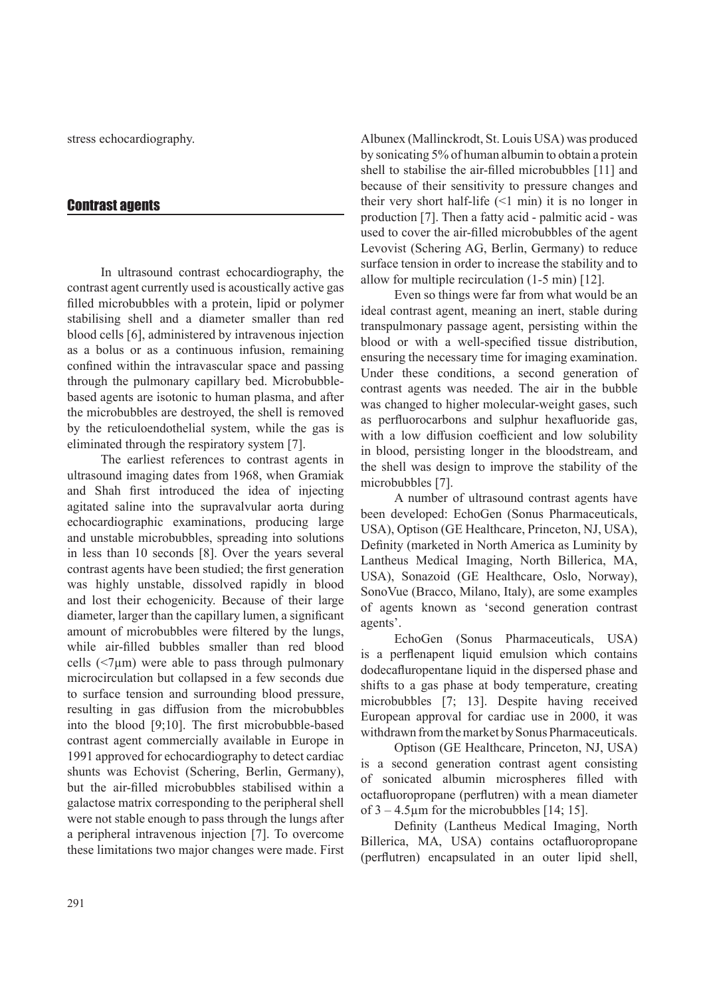stress echocardiography.

#### Contrast agents

In ultrasound contrast echocardiography, the contrast agent currently used is acoustically active gas filled microbubbles with a protein, lipid or polymer stabilising shell and a diameter smaller than red blood cells [6], administered by intravenous injection as a bolus or as a continuous infusion, remaining confined within the intravascular space and passing through the pulmonary capillary bed. Microbubblebased agents are isotonic to human plasma, and after the microbubbles are destroyed, the shell is removed by the reticuloendothelial system, while the gas is eliminated through the respiratory system [7].

The earliest references to contrast agents in ultrasound imaging dates from 1968, when Gramiak and Shah first introduced the idea of injecting agitated saline into the supravalvular aorta during echocardiographic examinations, producing large and unstable microbubbles, spreading into solutions in less than 10 seconds [8]. Over the years several contrast agents have been studied; the first generation was highly unstable, dissolved rapidly in blood and lost their echogenicity. Because of their large diameter, larger than the capillary lumen, a significant amount of microbubbles were filtered by the lungs, while air-filled bubbles smaller than red blood cells  $(\leq 7 \mu m)$  were able to pass through pulmonary microcirculation but collapsed in a few seconds due to surface tension and surrounding blood pressure, resulting in gas diffusion from the microbubbles into the blood [9;10]. The first microbubble-based contrast agent commercially available in Europe in 1991 approved for echocardiography to detect cardiac shunts was Echovist (Schering, Berlin, Germany), but the air-filled microbubbles stabilised within a galactose matrix corresponding to the peripheral shell were not stable enough to pass through the lungs after a peripheral intravenous injection [7]. To overcome these limitations two major changes were made. First Albunex (Mallinckrodt, St. Louis USA) was produced by sonicating 5% of human albumin to obtain a protein shell to stabilise the air-filled microbubbles [11] and because of their sensitivity to pressure changes and their very short half-life  $(\leq 1 \text{ min})$  it is no longer in production [7]. Then a fatty acid - palmitic acid - was used to cover the air-filled microbubbles of the agent Levovist (Schering AG, Berlin, Germany) to reduce surface tension in order to increase the stability and to allow for multiple recirculation (1-5 min) [12].

Even so things were far from what would be an ideal contrast agent, meaning an inert, stable during transpulmonary passage agent, persisting within the blood or with a well-specified tissue distribution, ensuring the necessary time for imaging examination. Under these conditions, a second generation of contrast agents was needed. The air in the bubble was changed to higher molecular-weight gases, such as perfluorocarbons and sulphur hexafluoride gas, with a low diffusion coefficient and low solubility in blood, persisting longer in the bloodstream, and the shell was design to improve the stability of the microbubbles [7].

A number of ultrasound contrast agents have been developed: EchoGen (Sonus Pharmaceuticals, USA), Optison (GE Healthcare, Princeton, NJ, USA), Definity (marketed in North America as Luminity by Lantheus Medical Imaging, North Billerica, MA, USA), Sonazoid (GE Healthcare, Oslo, Norway), SonoVue (Bracco, Milano, Italy), are some examples of agents known as 'second generation contrast agents'.

EchoGen (Sonus Pharmaceuticals, USA) is a perflenapent liquid emulsion which contains dodecafluropentane liquid in the dispersed phase and shifts to a gas phase at body temperature, creating microbubbles [7; 13]. Despite having received European approval for cardiac use in 2000, it was withdrawn from the market by Sonus Pharmaceuticals.

Optison (GE Healthcare, Princeton, NJ, USA) is a second generation contrast agent consisting of sonicated albumin microspheres filled with octafluoropropane (perflutren) with a mean diameter of  $3 - 4.5 \mu m$  for the microbubbles [14; 15].

Definity (Lantheus Medical Imaging, North Billerica, MA, USA) contains octafluoropropane (perflutren) encapsulated in an outer lipid shell,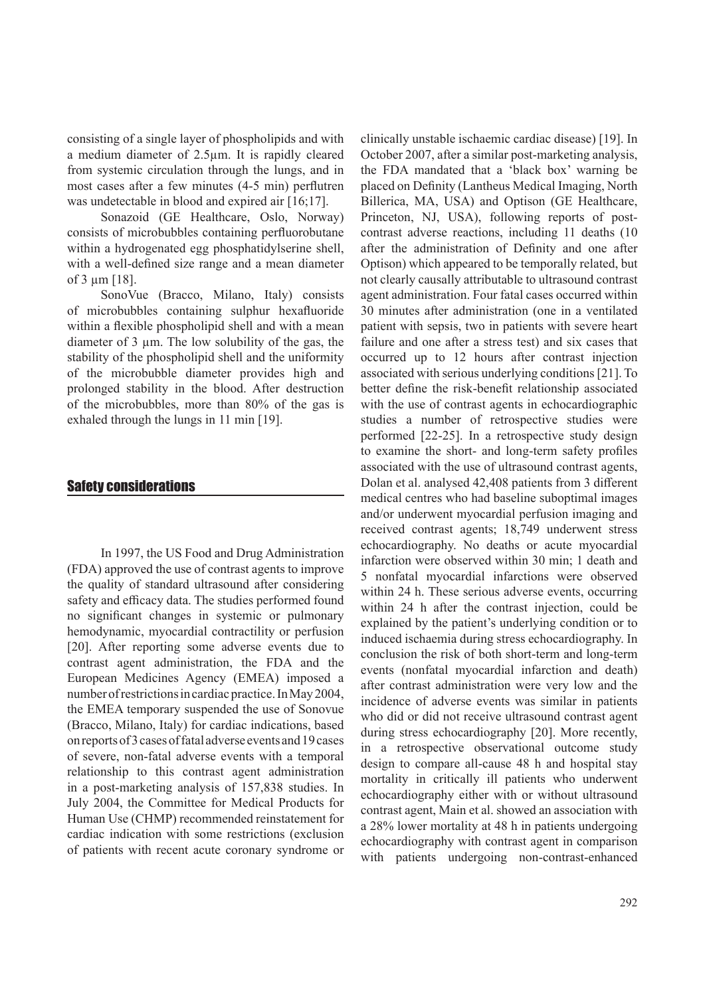consisting of a single layer of phospholipids and with a medium diameter of 2.5µm. It is rapidly cleared from systemic circulation through the lungs, and in most cases after a few minutes (4-5 min) perflutren was undetectable in blood and expired air [16;17].

Sonazoid (GE Healthcare, Oslo, Norway) consists of microbubbles containing perfluorobutane within a hydrogenated egg phosphatidylserine shell, with a well-defined size range and a mean diameter of 3 µm [18].

SonoVue (Bracco, Milano, Italy) consists of microbubbles containing sulphur hexafluoride within a flexible phospholipid shell and with a mean diameter of 3 µm. The low solubility of the gas, the stability of the phospholipid shell and the uniformity of the microbubble diameter provides high and prolonged stability in the blood. After destruction of the microbubbles, more than 80% of the gas is exhaled through the lungs in 11 min [19].

### Safety considerations

In 1997, the US Food and Drug Administration (FDA) approved the use of contrast agents to improve the quality of standard ultrasound after considering safety and efficacy data. The studies performed found no significant changes in systemic or pulmonary hemodynamic, myocardial contractility or perfusion [20]. After reporting some adverse events due to contrast agent administration, the FDA and the European Medicines Agency (EMEA) imposed a number of restrictions in cardiac practice. In May 2004, the EMEA temporary suspended the use of Sonovue (Bracco, Milano, Italy) for cardiac indications, based on reports of 3 cases of fatal adverse events and 19 cases of severe, non-fatal adverse events with a temporal relationship to this contrast agent administration in a post-marketing analysis of 157,838 studies. In July 2004, the Committee for Medical Products for Human Use (CHMP) recommended reinstatement for cardiac indication with some restrictions (exclusion of patients with recent acute coronary syndrome or

clinically unstable ischaemic cardiac disease) [19]. In October 2007, after a similar post-marketing analysis, the FDA mandated that a 'black box' warning be placed on Definity (Lantheus Medical Imaging, North Billerica, MA, USA) and Optison (GE Healthcare, Princeton, NJ, USA), following reports of postcontrast adverse reactions, including 11 deaths (10 after the administration of Definity and one after Optison) which appeared to be temporally related, but not clearly causally attributable to ultrasound contrast agent administration. Four fatal cases occurred within 30 minutes after administration (one in a ventilated patient with sepsis, two in patients with severe heart failure and one after a stress test) and six cases that occurred up to 12 hours after contrast injection associated with serious underlying conditions [21]. To better define the risk-benefit relationship associated with the use of contrast agents in echocardiographic studies a number of retrospective studies were performed [22-25]. In a retrospective study design to examine the short- and long-term safety profiles associated with the use of ultrasound contrast agents, Dolan et al. analysed 42,408 patients from 3 different medical centres who had baseline suboptimal images and/or underwent myocardial perfusion imaging and received contrast agents; 18,749 underwent stress echocardiography. No deaths or acute myocardial infarction were observed within 30 min; 1 death and 5 nonfatal myocardial infarctions were observed within 24 h. These serious adverse events, occurring within 24 h after the contrast injection, could be explained by the patient's underlying condition or to induced ischaemia during stress echocardiography. In conclusion the risk of both short-term and long-term events (nonfatal myocardial infarction and death) after contrast administration were very low and the incidence of adverse events was similar in patients who did or did not receive ultrasound contrast agent during stress echocardiography [20]. More recently, in a retrospective observational outcome study design to compare all-cause 48 h and hospital stay mortality in critically ill patients who underwent echocardiography either with or without ultrasound contrast agent, Main et al. showed an association with a 28% lower mortality at 48 h in patients undergoing echocardiography with contrast agent in comparison with patients undergoing non-contrast-enhanced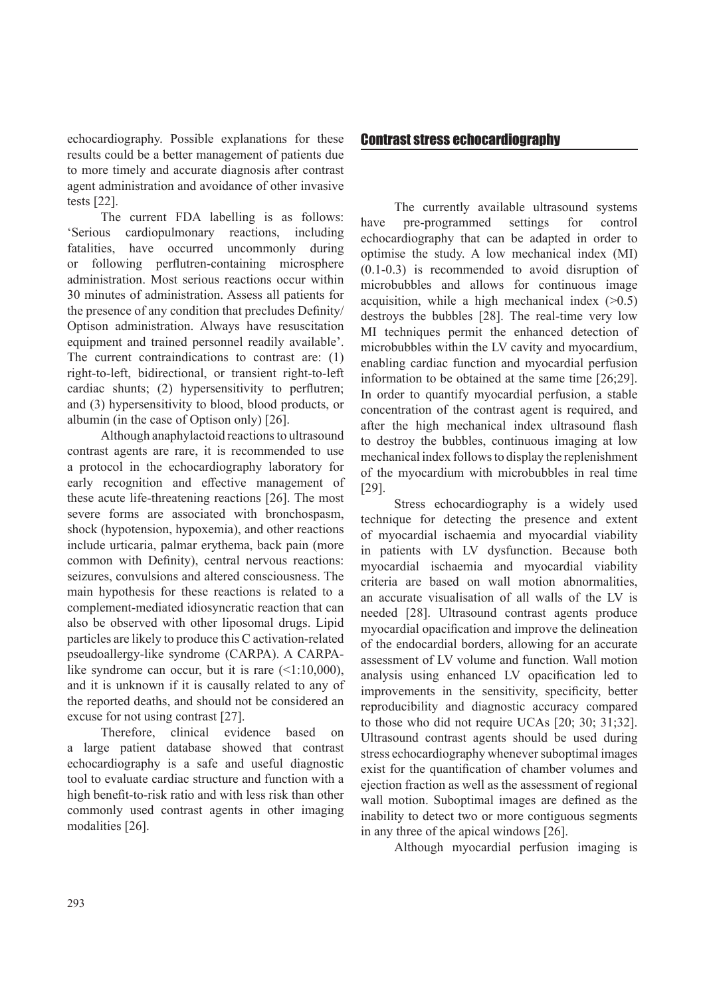echocardiography. Possible explanations for these results could be a better management of patients due to more timely and accurate diagnosis after contrast agent administration and avoidance of other invasive tests [22].

The current FDA labelling is as follows: 'Serious cardiopulmonary reactions, including fatalities, have occurred uncommonly during or following perflutren-containing microsphere administration. Most serious reactions occur within 30 minutes of administration. Assess all patients for the presence of any condition that precludes Definity/ Optison administration. Always have resuscitation equipment and trained personnel readily available'. The current contraindications to contrast are: (1) right-to-left, bidirectional, or transient right-to-left cardiac shunts; (2) hypersensitivity to perflutren; and (3) hypersensitivity to blood, blood products, or albumin (in the case of Optison only) [26].

Although anaphylactoid reactions to ultrasound contrast agents are rare, it is recommended to use a protocol in the echocardiography laboratory for early recognition and effective management of these acute life-threatening reactions [26]. The most severe forms are associated with bronchospasm, shock (hypotension, hypoxemia), and other reactions include urticaria, palmar erythema, back pain (more common with Definity), central nervous reactions: seizures, convulsions and altered consciousness. The main hypothesis for these reactions is related to a complement-mediated idiosyncratic reaction that can also be observed with other liposomal drugs. Lipid particles are likely to produce this C activation-related pseudoallergy-like syndrome (CARPA). A CARPAlike syndrome can occur, but it is rare  $(1:10,000)$ , and it is unknown if it is causally related to any of the reported deaths, and should not be considered an excuse for not using contrast [27].

Therefore, clinical evidence based on a large patient database showed that contrast echocardiography is a safe and useful diagnostic tool to evaluate cardiac structure and function with a high benefit-to-risk ratio and with less risk than other commonly used contrast agents in other imaging modalities [26].

## Contrast stress echocardiography

The currently available ultrasound systems have pre-programmed settings for control echocardiography that can be adapted in order to optimise the study. A low mechanical index (MI) (0.1-0.3) is recommended to avoid disruption of microbubbles and allows for continuous image acquisition, while a high mechanical index  $(>0.5)$ destroys the bubbles [28]. The real-time very low MI techniques permit the enhanced detection of microbubbles within the LV cavity and myocardium, enabling cardiac function and myocardial perfusion information to be obtained at the same time [26;29]. In order to quantify myocardial perfusion, a stable concentration of the contrast agent is required, and after the high mechanical index ultrasound flash to destroy the bubbles, continuous imaging at low mechanical index follows to display the replenishment of the myocardium with microbubbles in real time [29].

Stress echocardiography is a widely used technique for detecting the presence and extent of myocardial ischaemia and myocardial viability in patients with LV dysfunction. Because both myocardial ischaemia and myocardial viability criteria are based on wall motion abnormalities, an accurate visualisation of all walls of the LV is needed [28]. Ultrasound contrast agents produce myocardial opacification and improve the delineation of the endocardial borders, allowing for an accurate assessment of LV volume and function. Wall motion analysis using enhanced LV opacification led to improvements in the sensitivity, specificity, better reproducibility and diagnostic accuracy compared to those who did not require UCAs [20; 30; 31;32]. Ultrasound contrast agents should be used during stress echocardiography whenever suboptimal images exist for the quantification of chamber volumes and ejection fraction as well as the assessment of regional wall motion. Suboptimal images are defined as the inability to detect two or more contiguous segments in any three of the apical windows [26].

Although myocardial perfusion imaging is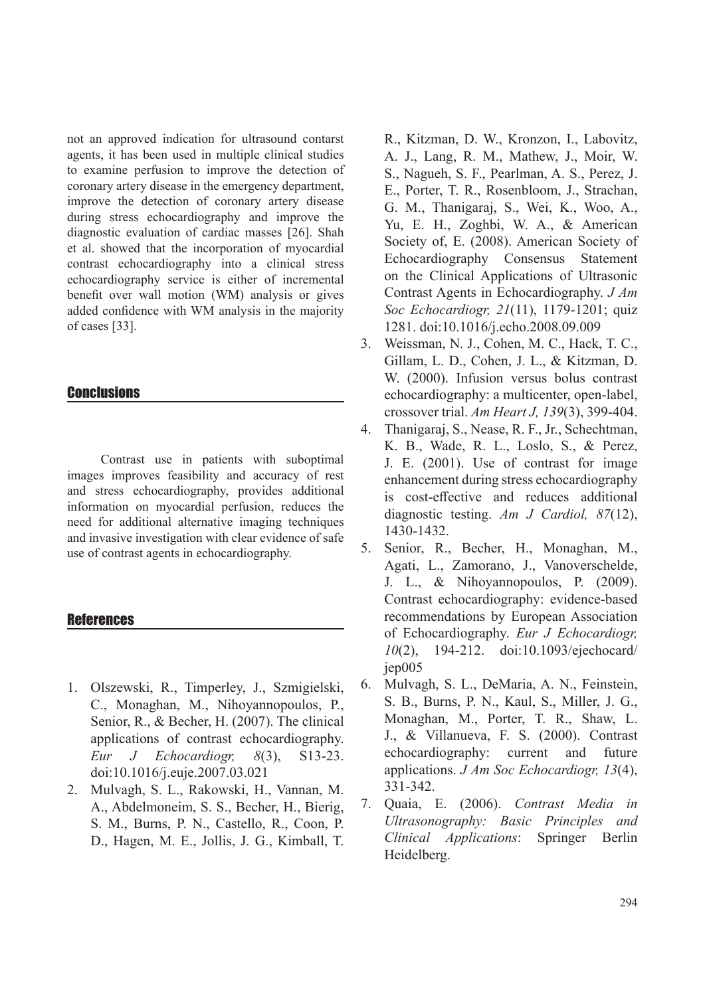not an approved indication for ultrasound contarst agents, it has been used in multiple clinical studies to examine perfusion to improve the detection of coronary artery disease in the emergency department, improve the detection of coronary artery disease during stress echocardiography and improve the diagnostic evaluation of cardiac masses [26]. Shah et al. showed that the incorporation of myocardial contrast echocardiography into a clinical stress echocardiography service is either of incremental benefit over wall motion (WM) analysis or gives added confidence with WM analysis in the majority of cases [33].

## **Conclusions**

Contrast use in patients with suboptimal images improves feasibility and accuracy of rest and stress echocardiography, provides additional information on myocardial perfusion, reduces the need for additional alternative imaging techniques and invasive investigation with clear evidence of safe use of contrast agents in echocardiography.

### References

- 1. Olszewski, R., Timperley, J., Szmigielski, C., Monaghan, M., Nihoyannopoulos, P., Senior, R., & Becher, H. (2007). The clinical applications of contrast echocardiography. *Eur J Echocardiogr, 8*(3), S13-23. doi:10.1016/j.euje.2007.03.021
- 2. Mulvagh, S. L., Rakowski, H., Vannan, M. A., Abdelmoneim, S. S., Becher, H., Bierig, S. M., Burns, P. N., Castello, R., Coon, P. D., Hagen, M. E., Jollis, J. G., Kimball, T.

R., Kitzman, D. W., Kronzon, I., Labovitz, A. J., Lang, R. M., Mathew, J., Moir, W. S., Nagueh, S. F., Pearlman, A. S., Perez, J. E., Porter, T. R., Rosenbloom, J., Strachan, G. M., Thanigaraj, S., Wei, K., Woo, A., Yu, E. H., Zoghbi, W. A., & American Society of, E. (2008). American Society of Echocardiography Consensus Statement on the Clinical Applications of Ultrasonic Contrast Agents in Echocardiography. *J Am Soc Echocardiogr, 21*(11), 1179-1201; quiz 1281. doi:10.1016/j.echo.2008.09.009

- 3. Weissman, N. J., Cohen, M. C., Hack, T. C., Gillam, L. D., Cohen, J. L., & Kitzman, D. W. (2000). Infusion versus bolus contrast echocardiography: a multicenter, open-label, crossover trial. *Am Heart J, 139*(3), 399-404.
- 4. Thanigaraj, S., Nease, R. F., Jr., Schechtman, K. B., Wade, R. L., Loslo, S., & Perez, J. E. (2001). Use of contrast for image enhancement during stress echocardiography is cost-effective and reduces additional diagnostic testing. *Am J Cardiol, 87*(12), 1430-1432.
- 5. Senior, R., Becher, H., Monaghan, M., Agati, L., Zamorano, J., Vanoverschelde, J. L., & Nihoyannopoulos, P. (2009). Contrast echocardiography: evidence-based recommendations by European Association of Echocardiography. *Eur J Echocardiogr, 10*(2), 194-212. doi:10.1093/ejechocard/ jep005
- 6. Mulvagh, S. L., DeMaria, A. N., Feinstein, S. B., Burns, P. N., Kaul, S., Miller, J. G., Monaghan, M., Porter, T. R., Shaw, L. J., & Villanueva, F. S. (2000). Contrast echocardiography: current and future applications. *J Am Soc Echocardiogr, 13*(4), 331-342.
- 7. Quaia, E. (2006). *Contrast Media in Ultrasonography: Basic Principles and Clinical Applications*: Springer Berlin Heidelberg.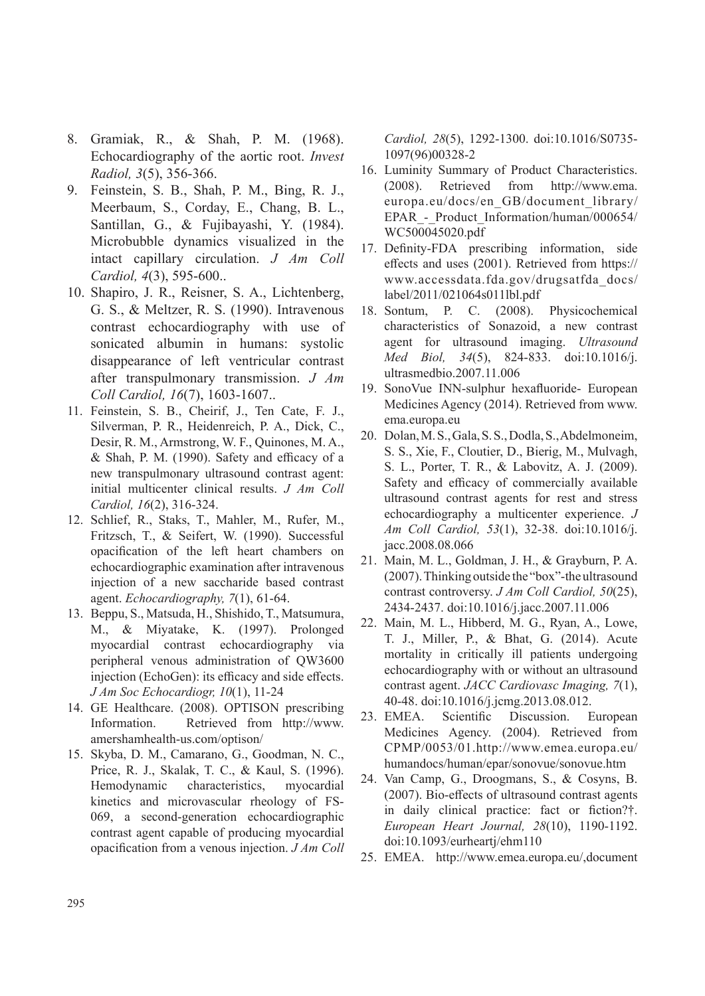- 8. Gramiak, R., & Shah, P. M. (1968). Echocardiography of the aortic root. *Invest Radiol, 3*(5), 356-366.
- 9. Feinstein, S. B., Shah, P. M., Bing, R. J., Meerbaum, S., Corday, E., Chang, B. L., Santillan, G., & Fujibayashi, Y. (1984). Microbubble dynamics visualized in the intact capillary circulation. *J Am Coll Cardiol, 4*(3), 595-600..
- 10. Shapiro, J. R., Reisner, S. A., Lichtenberg, G. S., & Meltzer, R. S. (1990). Intravenous contrast echocardiography with use of sonicated albumin in humans: systolic disappearance of left ventricular contrast after transpulmonary transmission. *J Am Coll Cardiol, 16*(7), 1603-1607..
- 11. Feinstein, S. B., Cheirif, J., Ten Cate, F. J., Silverman, P. R., Heidenreich, P. A., Dick, C., Desir, R. M., Armstrong, W. F., Quinones, M. A., & Shah, P. M. (1990). Safety and efficacy of a new transpulmonary ultrasound contrast agent: initial multicenter clinical results. *J Am Coll Cardiol, 16*(2), 316-324.
- 12. Schlief, R., Staks, T., Mahler, M., Rufer, M., Fritzsch, T., & Seifert, W. (1990). Successful opacification of the left heart chambers on echocardiographic examination after intravenous injection of a new saccharide based contrast agent. *Echocardiography, 7*(1), 61-64.
- 13. Beppu, S., Matsuda, H., Shishido, T., Matsumura, M., & Miyatake, K. (1997). Prolonged myocardial contrast echocardiography via peripheral venous administration of QW3600 injection (EchoGen): its efficacy and side effects. *J Am Soc Echocardiogr, 10*(1), 11-24
- 14. GE Healthcare. (2008). OPTISON prescribing Information. Retrieved from http://www. amershamhealth-us.com/optison/
- 15. Skyba, D. M., Camarano, G., Goodman, N. C., Price, R. J., Skalak, T. C., & Kaul, S. (1996). Hemodynamic characteristics, myocardial kinetics and microvascular rheology of FS-069, a second-generation echocardiographic contrast agent capable of producing myocardial opacification from a venous injection. *J Am Coll*

*Cardiol, 28*(5), 1292-1300. doi:10.1016/S0735- 1097(96)00328-2

- 16. Luminity Summary of Product Characteristics. (2008). Retrieved from http://www.ema. europa.eu/docs/en\_GB/document\_library/ EPAR - Product Information/human/000654/ WC500045020.pdf
- 17. Definity-FDA prescribing information, side effects and uses (2001). Retrieved from https:// www.accessdata.fda.gov/drugsatfda\_docs/ label/2011/021064s011lbl.pdf
- 18. Sontum, P. C. (2008). Physicochemical characteristics of Sonazoid, a new contrast agent for ultrasound imaging. *Ultrasound Med Biol, 34*(5), 824-833. doi:10.1016/j. ultrasmedbio.2007.11.006
- 19. SonoVue INN-sulphur hexafluoride- European Medicines Agency (2014). Retrieved from www. ema.europa.eu
- 20. Dolan, M. S., Gala, S. S., Dodla, S., Abdelmoneim, S. S., Xie, F., Cloutier, D., Bierig, M., Mulvagh, S. L., Porter, T. R., & Labovitz, A. J. (2009). Safety and efficacy of commercially available ultrasound contrast agents for rest and stress echocardiography a multicenter experience. *J Am Coll Cardiol, 53*(1), 32-38. doi:10.1016/j. jacc.2008.08.066
- 21. Main, M. L., Goldman, J. H., & Grayburn, P. A. (2007). Thinking outside the "box"-the ultrasound contrast controversy. *J Am Coll Cardiol, 50*(25), 2434-2437. doi:10.1016/j.jacc.2007.11.006
- 22. Main, M. L., Hibberd, M. G., Ryan, A., Lowe, T. J., Miller, P., & Bhat, G. (2014). Acute mortality in critically ill patients undergoing echocardiography with or without an ultrasound contrast agent. *JACC Cardiovasc Imaging, 7*(1), 40-48. doi:10.1016/j.jcmg.2013.08.012.
- 23. EMEA. Scientific Discussion. European Medicines Agency. (2004). Retrieved from CPMP/0053/01.http://www.emea.europa.eu/ humandocs/human/epar/sonovue/sonovue.htm
- 24. Van Camp, G., Droogmans, S., & Cosyns, B. (2007). Bio-effects of ultrasound contrast agents in daily clinical practice: fact or fiction?†. *European Heart Journal, 28*(10), 1190-1192. doi:10.1093/eurheartj/ehm110
- 25. EMEA. http://www.emea.europa.eu/,document